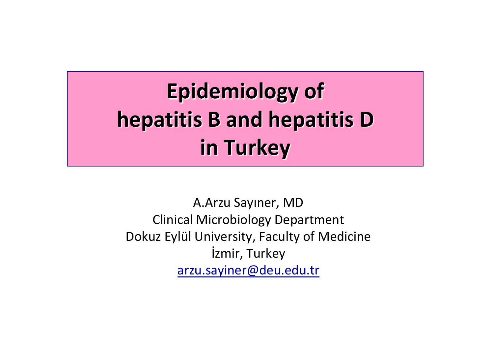### **Epidemiology of hepatitis B and hepatitis D in Turkey**

A.Arzu Sayıner, MD Clinical Microbiology Department Dokuz Eylül University, Faculty of Medicine İzmir, Turkey arzu.sayiner@deu.edu.tr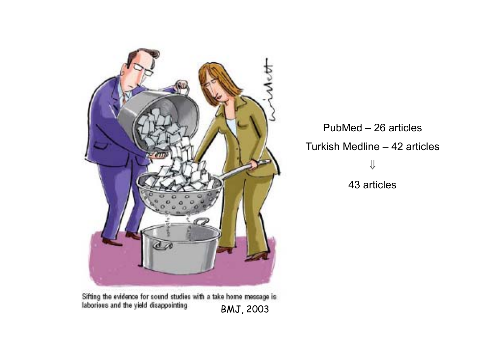

Sifting the evidence for sound studies with a take home message is laborious and the yield disappointing BMJ, 2003

PubMed – 26 articles Turkish Medline – 42 articles ⇓43 articles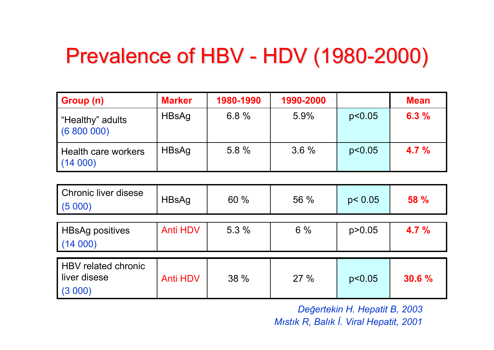### Prevalence of HBV - HDV (1980-2000)

| Group (n)                      | <b>Marker</b> | 1980-1990 | 1990-2000 |        | <b>Mean</b> |
|--------------------------------|---------------|-----------|-----------|--------|-------------|
| "Healthy" adults<br>(6800000)  | HBsAg         | 6.8%      | 5.9%      | p<0.05 | 6.3%        |
| Health care workers<br>(14000) | HBsAg         | 5.8 %     | $3.6\%$   | p<0.05 | $4.7\%$     |

| <b>Chronic liver disese</b><br>(5000)          | HBsAg           | 60 % | 56 % | p < 0.05 | <b>58 %</b> |
|------------------------------------------------|-----------------|------|------|----------|-------------|
| <b>HBsAg positives</b><br>(14000)              | <b>Anti HDV</b> | 5.3% | 6%   | p > 0.05 | 4.7%        |
| HBV related chronic<br>liver disese<br>(3 000) | <b>Anti HDV</b> | 38 % | 27%  | p<0.05   | 30.6 %      |

*De ğertekin H. Hepatit B, 2003 Mıstık R, Balık İ. Viral Hepatit, 2001*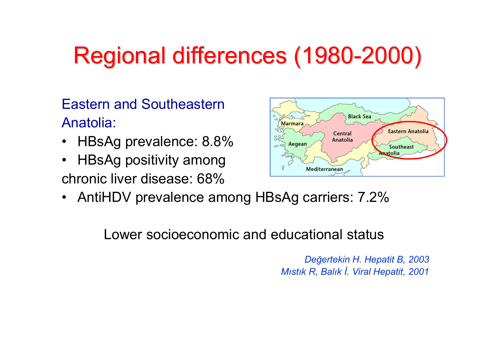# Regional differences (1980-2000)

Eastern and SoutheasternAnatolia:

- •HBsAg prevalence: 8.8%
- • HBsAg positivity among chronic liver disease: 68%



• AntiHDV prevalence among HBsAg carriers: 7.2%

Lower socioeconomic and educational status

*De ğertekin H. Hepatit B, 2003 Mıstık R, Balık İ. Viral Hepatit, 2001*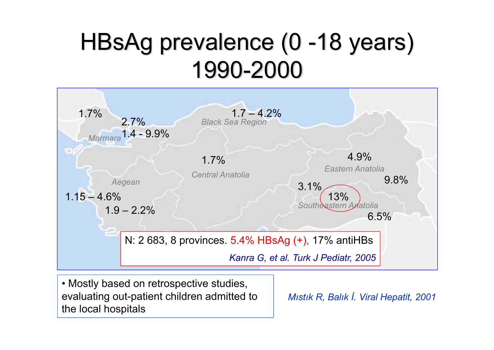## HBsAg prevalence (0-18 years) 1990-2000



• Mostly based on retrospective studies, evaluating out-patient children admitted to the local hospitals

*Mıstık R, Balık İ. Viral Hepatit, 2001*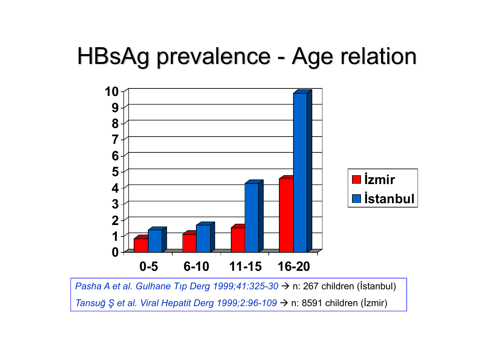### HBsAg prevalence - Age relation



*Pasha A et al. Gulhane Tıp Derg 1999;41:325-30 →* n: 267 children (İstanbul) *Tansuğ Ş et al. Viral Hepatit Derg 1999;2:96-109 →* n: 8591 children (İzmir)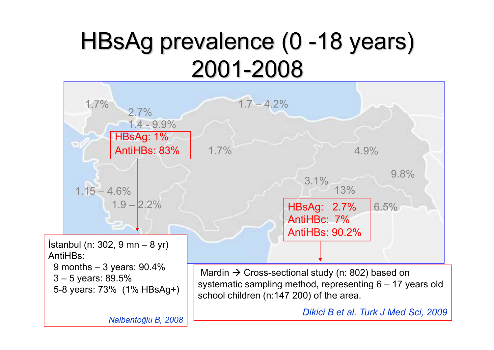## HBsAg prevalence (0 -18 years) 2001-2008



9 months – 3 years: 90.4% 3 – 5 years: 89.5% 5-8 years: 73% (1% HBsAg+)

Mardin  $\rightarrow$  Cross-sectional study (n: 802) based on systematic sampling method, representing 6 – 17 years old school children (n:147 200) of the area.

*Dikici B et al. Turk J Med Sci, 2009*

*Nalbanto ğlu B, 2008*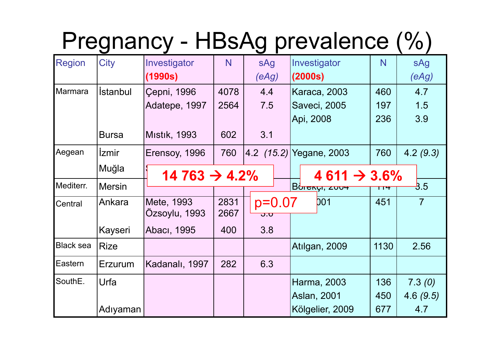## Pregnancy - HBsAg prevalence (%)

| <b>Region</b>    | City                   | Investigator                                          | N    | sAg                                               | Investigator            | N    | sAg            |
|------------------|------------------------|-------------------------------------------------------|------|---------------------------------------------------|-------------------------|------|----------------|
|                  |                        | (1990s)                                               |      | (eAg)                                             | (2000s)                 |      | (eAg)          |
| <b>Marmara</b>   | <i><b>İstanbul</b></i> | Çepni, 1996                                           | 4078 | 4.4                                               | <b>Karaca, 2003</b>     | 460  | 4.7            |
|                  |                        | Adatepe, 1997                                         | 2564 | 7.5                                               | Saveci, 2005            | 197  | 1.5            |
|                  |                        |                                                       |      |                                                   | Api, 2008               | 236  | 3.9            |
|                  | <b>Bursa</b>           | <b>Mistik, 1993</b>                                   | 602  | 3.1                                               |                         |      |                |
| Aegean           | <i>Izmir</i>           | Erensoy, 1996                                         | 760  |                                                   | 4.2 (15.2) Yegane, 2003 | 760  | 4.2(9.3)       |
|                  | Muğla                  | $14763 \rightarrow 4.2\%$<br>$4611 \rightarrow 3.6\%$ |      |                                                   |                         |      |                |
| Mediterr.        | <b>Mersin</b>          |                                                       |      |                                                   | Burnyi, 2004            | TT 7 | 3.5            |
| Central          | Ankara                 | Mete, 1993                                            | 2831 | $p=0.07$                                          | <b>DO1</b>              | 451  | $\overline{7}$ |
|                  |                        | Özsoylu, 1993                                         | 2667 | $\overline{\mathbf{O}}$ . $\overline{\mathbf{O}}$ |                         |      |                |
|                  | Kayseri                | Abacı, 1995                                           | 400  | 3.8                                               |                         |      |                |
| <b>Black sea</b> | <b>Rize</b>            |                                                       |      |                                                   | Atılgan, 2009           | 1130 | 2.56           |
| Eastern          | Erzurum                | Kadanalı, 1997                                        | 282  | 6.3                                               |                         |      |                |
| SouthE.          | Urfa                   |                                                       |      |                                                   | Harma, 2003             | 136  | 7.3(0)         |
|                  |                        |                                                       |      |                                                   | Aslan, 2001             | 450  | 4.6(9.5)       |
|                  | Adıyaman               |                                                       |      |                                                   | Kölgelier, 2009         | 677  | 4.7            |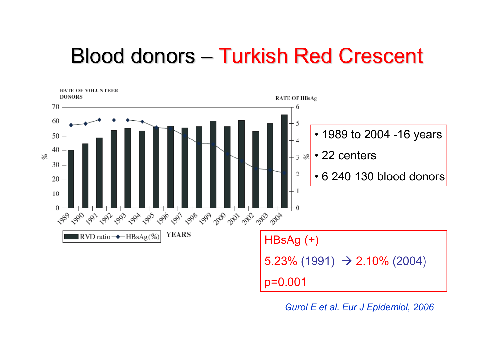### Blood donors – Turkish Red Crescent



*Gurol E et al. Eur J Epidemiol, 2006*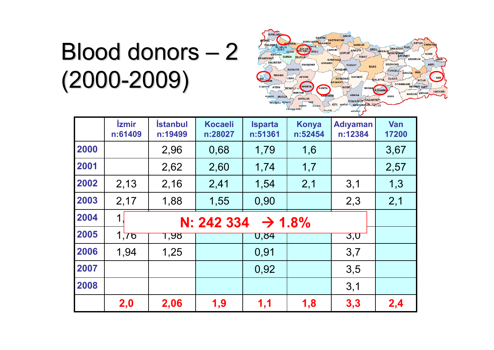# Blood donors – 2 (2000-2009)



|      | <i><u><b>izmir</b></u></i><br>n:61409 | <b>İstanbul</b><br>n:19499 | <b>Kocaeli</b><br>n:28027 | <b>Isparta</b><br>n:51361 | <b>Konya</b><br>n:52454 | <b>Adıyaman</b><br>n:12384 | <b>Van</b><br>17200 |
|------|---------------------------------------|----------------------------|---------------------------|---------------------------|-------------------------|----------------------------|---------------------|
| 2000 |                                       | 2,96                       | 0,68                      | 1,79                      | 1,6                     |                            | 3,67                |
| 2001 |                                       | 2,62                       | 2,60                      | 1,74                      | 1,7                     |                            | 2,57                |
| 2002 | 2,13                                  | 2,16                       | 2,41                      | 1,54                      | 2,1                     | 3,1                        | 1,3                 |
| 2003 | 2,17                                  | 1,88                       | 1,55                      | 0,90                      |                         | 2,3                        | 2,1                 |
| 2004 | 1<br>$\rightarrow$ 1.8%<br>N: 242 334 |                            |                           |                           |                         |                            |                     |
| 2005 | 1,76                                  | <u> १,५४</u>               |                           | <b>U,84</b>               |                         | 3,0                        |                     |
| 2006 | 1,94                                  | 1,25                       |                           | 0,91                      |                         | 3,7                        |                     |
| 2007 |                                       |                            |                           | 0,92                      |                         | 3,5                        |                     |
| 2008 |                                       |                            |                           |                           |                         | 3,1                        |                     |
|      | 2,0                                   | 2,06                       | 1,9                       | 1,1                       | 1,8                     | 3,3                        | 2,4                 |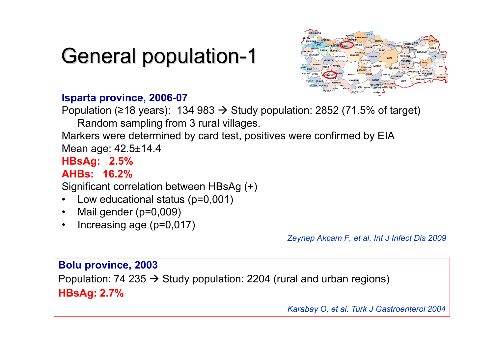### General population-1



#### **Isparta province, 2006-07**

Population (≥18 years): 134 983 -> Study population: 2852 (71.5% of target) Random sampling from 3 rural villages.

Markers were determined by card test, positives were confirmed by EIA Mean age: 42.5±14.4

**HBsAg: 2.5%**

**AHBs: 16.2%**

Significant correlation between HBsAg (+)

- •Low educational status (p=0,001)
- •Mail gender (p=0,009)
- •Increasing age (p=0,017)

*Zeynep Akcam F, et al. Int J Infect Dis 2009*

#### **Bolu province, 2003**

Population: 74 235  $\rightarrow$  Study population: 2204 (rural and urban regions) **HBsAg: 2.7%** 

*Karabay O, et al. Turk J Gastroenterol 2004*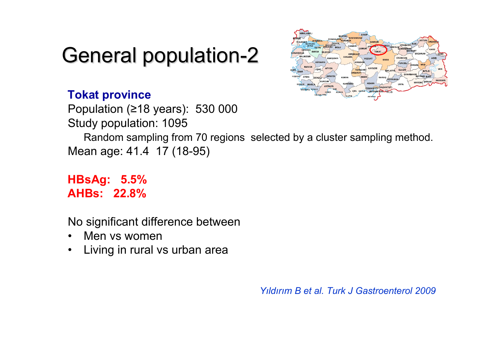### General population-2



#### **Tokat province**

Population ( <sup>≥</sup>18 years): 530 000 Study population: 1095

Random sampling from 70 regions selected by a cluster sampling method. Mean age: 41.4 17 (18-95)

#### **HBsAg: 5.5% AHBs: 22.8%**

No significant difference between

- •Men vs women
- •Living in rural vs urban area

*Yıldırım B et al. Turk J Gastroenterol 2009*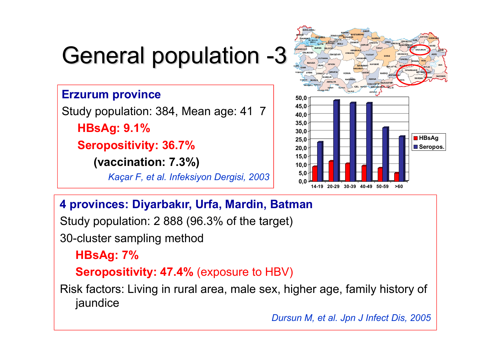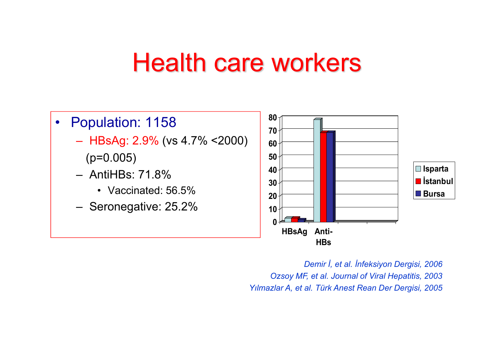### Health care workers



*Demir İ, et al. İnfeksiyon Dergisi, 2006 Ozsoy MF, et al. Journal of Viral Hepatitis, 2003 Yılmazlar A, et al. Türk Anest Rean Der Dergisi, 2005*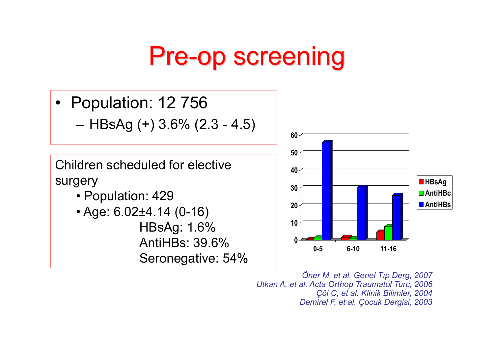## Pre-op screening

- • Population: 12 756
	- HBsAg (+) 3.6% (2.3 4.5)

Children scheduled for elective surgery

- Population: 429
- Age: 6.02±4.14 (0-16) HBsAg: 1.6% AntiHBs: 39.6%Seronegative: 54%



*Öner M, et al. Genel Tıp Derg, 2007 Utkan A, et al. Acta Orthop Traumatol Turc, 2006 Çöl C, et al. Klinik Bilimler, 2004 Demirel F, et al. Çocuk Dergisi, 2003*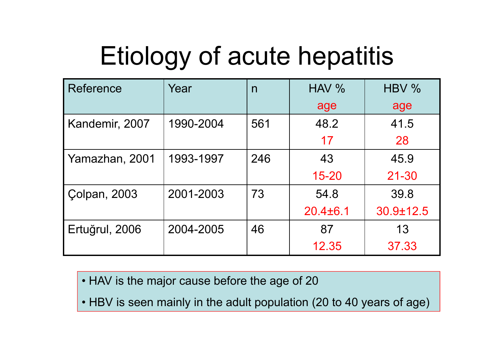# Etiology of acute hepatitis

| Reference           | Year      | n   | HAV %          | HBV %     |
|---------------------|-----------|-----|----------------|-----------|
|                     |           |     | age            | age       |
| Kandemir, 2007      | 1990-2004 | 561 | 48.2           | 41.5      |
|                     |           |     | 17             | 28        |
| Yamazhan, 2001      | 1993-1997 | 246 | 43             | 45.9      |
|                     |           |     | $15 - 20$      | $21 - 30$ |
| <b>Colpan, 2003</b> | 2001-2003 | 73  | 54.8           | 39.8      |
|                     |           |     | $20.4 \pm 6.1$ | 30.9±12.5 |
| Ertuğrul, 2006      | 2004-2005 | 46  | 87             | 13        |
|                     |           |     | 12.35          | 37.33     |

• HAV is the major cause before the age of 20

• HBV is seen mainly in the adult population (20 to 40 years of age)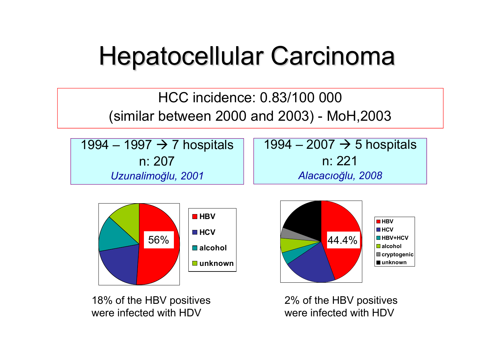# Hepatocellular Carcinoma

#### HCC incidence: 0.83/100 000 (similar between 2000 and 2003) - MoH,2003

1994 – 1997 → 7 hospitals n: 207*Uzunalimo ğlu, 2001*

1994 – 2007 → 5 hospitals n: 221*Alacacıo ğlu, 2008*



18% of the HBV positives were infected with HDV



**HBV HCV HBV+HCValcoholcryptogenic unknown**

were infected with HDV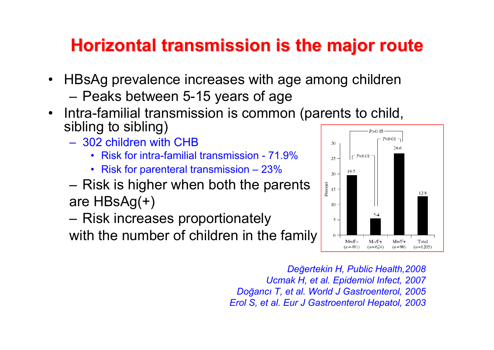### **Horizontal transmission is the major route**

- $\bullet$  HBsAg prevalence increases with age among children – Peaks between 5-15 years of age
- $\bullet$  Intra-familial transmission is common (parents to child, sibling to sibling)
	- 302 children with CHB
		- Risk for intra-familial transmission 71.9%
		- Risk for parenteral transmission 23%
	- – $-$  Risk is higher when both the parents are HBsAg(+)
	- Risk increases proportionately with the number of children in the family



*De ğertekin H, Public Health,2008 Ucmak H, et al. Epidemiol Infect, 2007 Do ğancı T, et al. World J Gastroenterol, 2005 Erol S, et al. Eur J Gastroenterol Hepatol, 2003*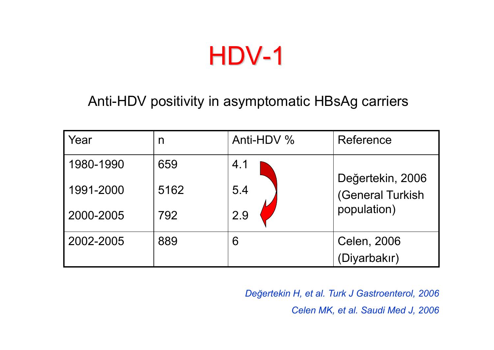HDV-1

#### Anti-HDV positivity in asymptomatic HBsAg carriers

| Year      | n    | Anti-HDV % | Reference        |
|-----------|------|------------|------------------|
| 1980-1990 | 659  | 4.1        | Değertekin, 2006 |
| 1991-2000 | 5162 | 5.4        | (General Turkish |
| 2000-2005 | 792  | 2.9        | population)      |
| 2002-2005 | 889  | 6          | Celen, 2006      |
|           |      |            | (Diyarbakır)     |

*Değertekin H, et al. Turk J Gastroenterol, 2006 Celen MK, et al. Saudi Med J, 2006*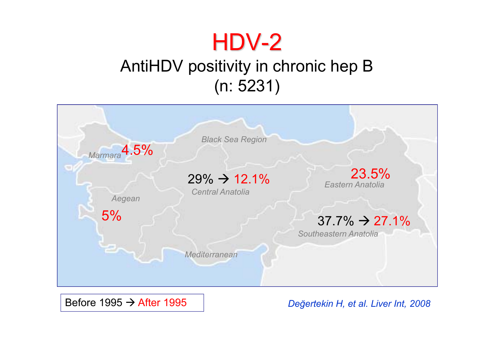### HDV-2

### AntiHDV positivity in chronic hep B (n: 5231)

| Marmara <sup>4.5%</sup> | <b>Black Sea Region</b>                                               |                                                                                   |
|-------------------------|-----------------------------------------------------------------------|-----------------------------------------------------------------------------------|
| Aegean<br>5%            | $29\% \rightarrow 12.1\%$<br><b>Central Anatolia</b><br>Mediterranean | 23.5%<br>Eastern Anatolia<br>$37.7\% \rightarrow 27.1\%$<br>Southeastern Anatolia |

Before 1995 → After 1995

*Değertekin H, et al. Liver Int, 2008*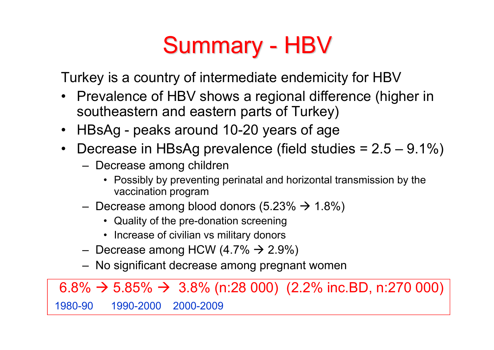## Summary - HBV

Turkey is a country of intermediate endemicity for HBV

- Prevalence of HBV shows a regional difference (higher in southeastern and eastern parts of Turkey)
- HBsAg peaks around 10-20 years of age
- • Decrease in HBsAg prevalence (field studies = 2.5 – 9.1%)
	- Decrease among children
		- Possibly by preventing perinatal and horizontal transmission by the vaccination program
	- $-$  Decrease among blood donors (5.23%  $\rightarrow$  1.8%)
		- Quality of the pre-donation screening
		- Increase of civilian vs military donors
	- $-$  Decrease among HCW (4.7%  $\rightarrow$  2.9%)
	- No significant decrease among pregnant women